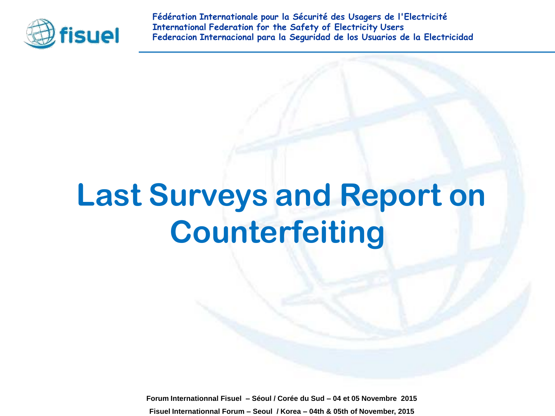

**Fédération Internationale pour la Sécurité des Usagers de l'Electricité International Federation for the Safety of Electricity Users Federacion Internacional para la Seguridad de los Usuarios de la Electricidad**

# **Last Surveys and Report on Counterfeiting**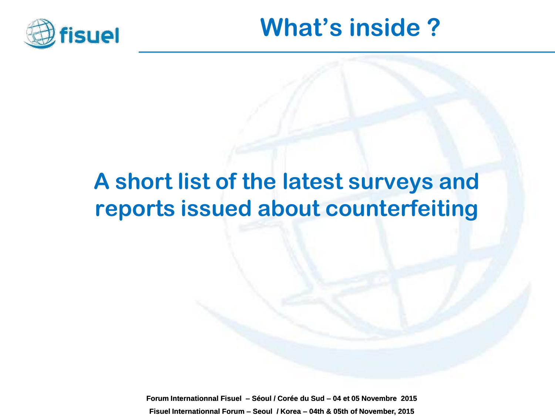

## **What's inside ?**

### **A short list of the latest surveys and reports issued about counterfeiting**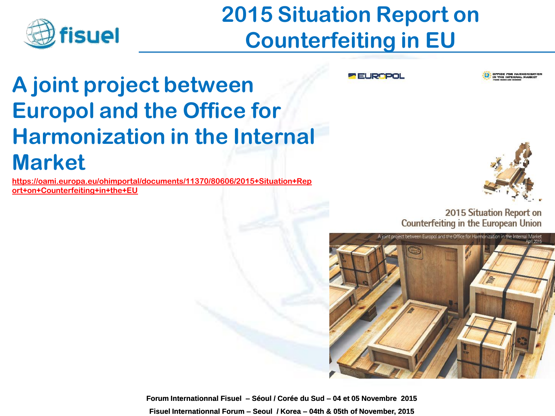

## **2015 Situation Report on Counterfeiting in EU**

#### **A joint project between Europol and the Office for Harmonization in the Internal Market**

**[https://oami.europa.eu/ohimportal/documents/11370/80606/2015+Situation+Rep](https://oami.europa.eu/ohimportal/documents/11370/80606/2015+Situation+Report+on+Counterfeiting+in+the+EU) [ort+on+Counterfeiting+in+the+EU](https://oami.europa.eu/ohimportal/documents/11370/80606/2015+Situation+Report+on+Counterfeiting+in+the+EU)**

**PELROPOL** 





2015 Situation Report on **Counterfeiting in the European Union** 

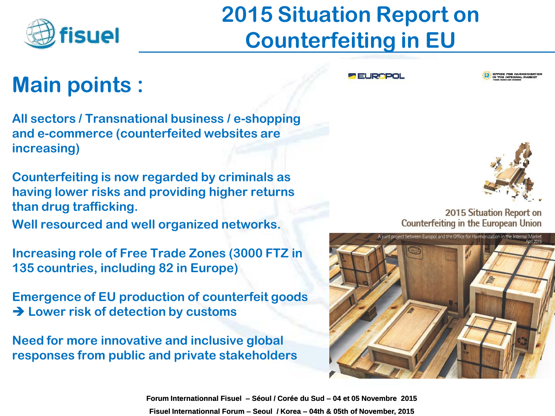

## **2015 Situation Report on Counterfeiting in EU**

#### **Main points :**

**All sectors / Transnational business / e-shopping and e-commerce (counterfeited websites are increasing)**

**Counterfeiting is now regarded by criminals as having lower risks and providing higher returns than drug trafficking.** 

**Well resourced and well organized networks.**

**Increasing role of Free Trade Zones (3000 FTZ in 135 countries, including 82 in Europe)**

**Emergence of EU production of counterfeit goods Lower risk of detection by customs**

**Need for more innovative and inclusive global responses from public and private stakeholders** **PRELIGEROL** 





2015 Situation Report on **Counterfeiting in the European Union** 

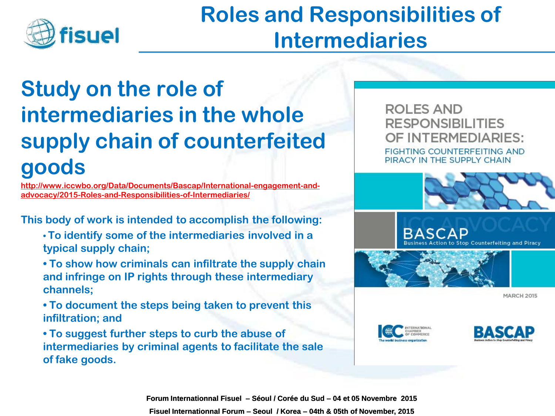

### **Roles and Responsibilities of Intermediaries**

### **Study on the role of intermediaries in the whole supply chain of counterfeited goods**

**[http://www.iccwbo.org/Data/Documents/Bascap/International-engagement-and](http://www.iccwbo.org/Data/Documents/Bascap/International-engagement-and-advocacy/2015-Roles-and-Responsibilities-of-Intermediaries/)[advocacy/2015-Roles-and-Responsibilities-of-Intermediaries/](http://www.iccwbo.org/Data/Documents/Bascap/International-engagement-and-advocacy/2015-Roles-and-Responsibilities-of-Intermediaries/)**

**This body of work is intended to accomplish the following:**

- **To identify some of the intermediaries involved in a typical supply chain;**
- **To show how criminals can infiltrate the supply chain and infringe on IP rights through these intermediary channels;**
- **To document the steps being taken to prevent this infiltration; and**
- **To suggest further steps to curb the abuse of intermediaries by criminal agents to facilitate the sale of fake goods.**

**ROLES AND RESPONSIBILITIES** OF INTERMEDIARIES: **FIGHTING COUNTERFEITING AND** PIRACY IN THE SUPPLY CHAIN







**MARCH 2015** 



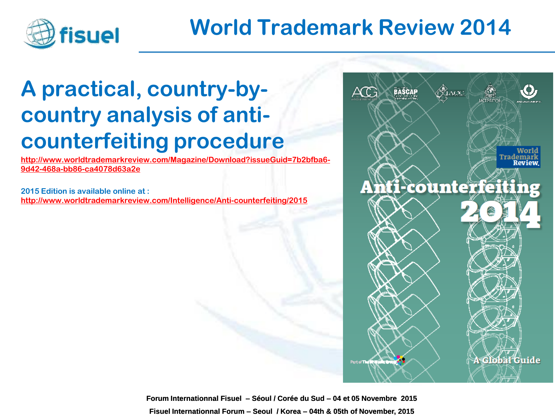

#### **World Trademark Review 2014**

#### **A practical, country-bycountry analysis of anticounterfeiting procedure**

**[http://www.worldtrademarkreview.com/Magazine/Download?issueGuid=7b2bfba6-](http://www.worldtrademarkreview.com/Magazine/Download?issueGuid=7b2bfba6-9d42-468a-bb86-ca4078d63a2e) [9d42-468a-bb86-ca4078d63a2e](http://www.worldtrademarkreview.com/Magazine/Download?issueGuid=7b2bfba6-9d42-468a-bb86-ca4078d63a2e)**

**2015 Edition is available online at : <http://www.worldtrademarkreview.com/Intelligence/Anti-counterfeiting/2015>**

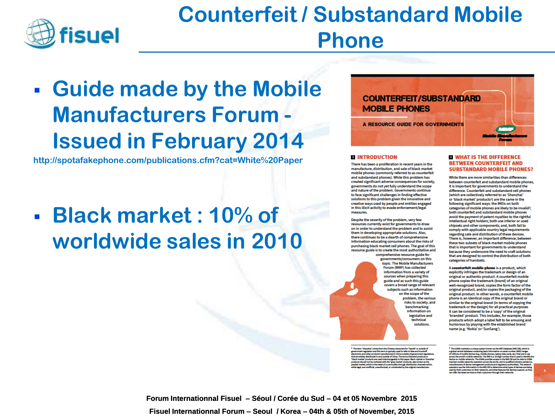

#### **Counterfeit / Substandard Mobile Phone**

### **Guide made by the Mobile Manufacturers Forum - Issued in February 2014**

**http://spotafakephone.com/publications.cfm?cat=White%20Paper**

#### **Black market : 10% of worldwide sales in 2010**



#### **EL INTRODUCTION**

There has been a proliferation in recent years in the manufacture, distribution, and sale of black market mobile phones (commonly referred to as counterfeit and substandard phones). While this problem has created significant adverse consequences for society, governments do not yet fully understand the scope and nature of the problem. Governments continue. to face significant challenges in finding effective solutions to this problem given the innovative and creative ways used by people and entities engaged in this illicit activity to evade enforcement/legal measures.

Despite the severity of the problem, very few resources currently exist for governments to draw on in order to understand the problem and to assist them in developing appropriate solutions. Also, there continues to be a dearth of comprehensive information educating consumers about the risks of purchasing black market cell phones. The goal of this .<br>resource guide is to create the most authoritative and

comprehensive resource guide for governments/consumers on this topic. The Mobile Manufacturers Forum (MMF) has collected information from a variety of sources when preparing this guide and as such this guide covers a broad range of relevant ubjects such as information on the scope of the problem, the various risks to society, and benchmarking information on legislative and technical solutions

#### **E WHAT IS THE DIFFERENCE BETWEEN COUNTERFEIT AND SUBSTANDARD MOBILE PHONES?**

While there are more similarities than differences between counterfeit and substandard mobile phones, it is important for governments to understand the difference. Counterfeit and substandard cell phones (which are collectively referred to as 'Shanzhai' or 'black market' products<sup>1</sup>) are the same in the following significant ways: the IMEIs on both categories of mobile phones are likely to be invalid<sup>2</sup>; both counterfeit and substandard mobile phones avoid the payment of patent royalties to the rightful intellectual right holders; both use inferior or used chipsets and other components; and, both fail to comply with applicable country legal requirements regarding sale and distribution of these devices. There is, however, an important difference, between these two subsets of black market mobile phones that is important for governments to understand because they underscore the need to craft solutions that are designed to control the distribution of both categories of handsets.

A counterfelt mobile phone is a product, which explicitly infringes the trademark or design of an original or authentic product. A counterfeit mobile phone copies the trademark (brand) of an original well-recognized brand, copies the form factor of the original product, and/or copies the packaging of the original product. In other words, a counterfeit mobile phone is an identical copy of the original brand or similar to the original brand (in terms of copying the trademark or the design) for all practical purposes it can be considered to be a 'copy' of the original 'branded' product. This includes, for example, those products which adopt a label felt to be amusing and humorous by playing with the established brand name (e.g. 'Nokla' or 'SunSang').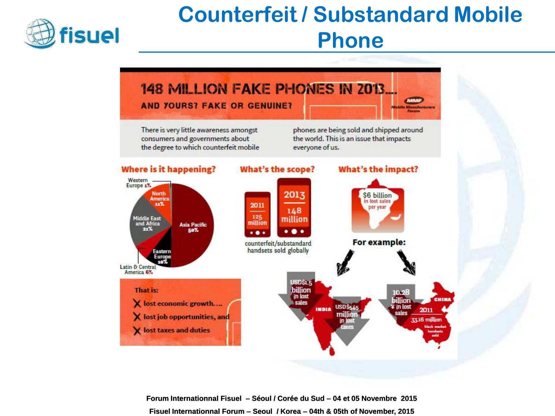

## **Counterfeit / Substandard Mobile Phone**

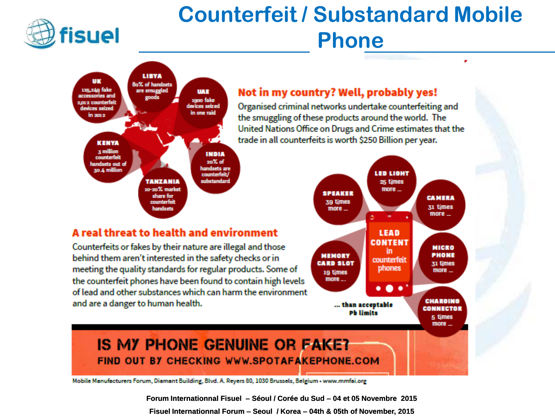

### **Counterfeit / Substandard Mobile Phone**



#### Not in my country? Well, probably yes!

Organised criminal networks undertake counterfeiting and the smuggling of these products around the world. The United Nations Office on Drugs and Crime estimates that the trade in all counterfeits is worth \$250 Billion per year.

#### A real threat to health and environment

Counterfeits or fakes by their nature are illegal and those behind them aren't interested in the safety checks or in meeting the quality standards for regular products. Some of the counterfeit phones have been found to contain high levels of lead and other substances which can harm the environment and are a danger to human health.



٠

#### **IS MY PHONE GENUINE OR FAKE?** FIND OUT BY CHECKING WWW.SPOTAFAKEPHONE.COM

Mobile Manufacturers Forum, Diamant Building, Blvd. A. Reyers 80, 1030 Brussels, Belgium - www.mmfai.org